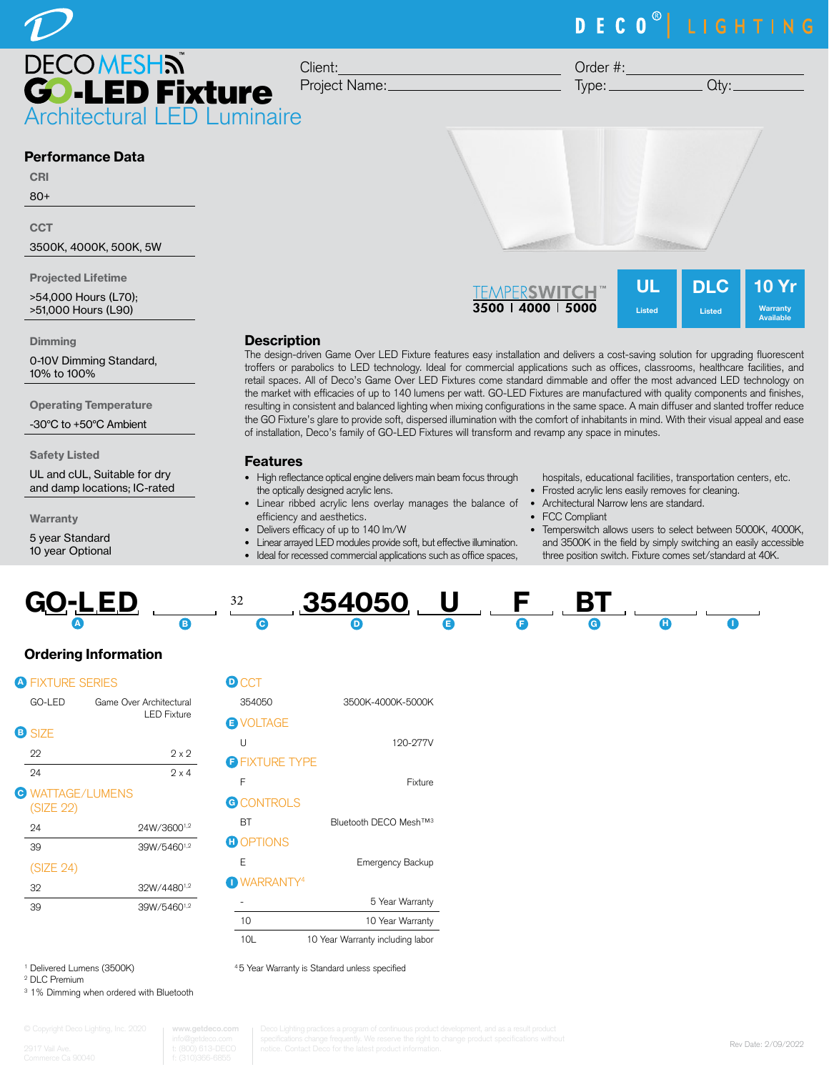

**DECOMESHN D-LED Fixture** Architectural LED Luminaire

Client: Project Name:

Order #:  $Type:$   $Qty:$ 

## Performance Data

CRI

80+

**CCT** 

3500K, 4000K, 500K, 5W

Projected Lifetime

>54,000 Hours (L70); >51,000 Hours (L90)

#### **Dimming**

0-10V Dimming Standard, 10% to 100%

Operating Temperature

-30°C to +50°C Ambient

Safety Listed

UL and cUL, Suitable for dry and damp locations; IC-rated

**Warranty** 

5 year Standard 10 year Optional

UL DLC 10 Yr **TFMPFRSWITCH** 3500 | 4000 | 5000 Listed Listed Warranty Available

## **Description**

The design-driven Game Over LED Fixture features easy installation and delivers a cost-saving solution for upgrading fluorescent troffers or parabolics to LED technology. Ideal for commercial applications such as offices, classrooms, healthcare facilities, and retail spaces. All of Deco's Game Over LED Fixtures come standard dimmable and offer the most advanced LED technology on the market with efficacies of up to 140 lumens per watt. GO-LED Fixtures are manufactured with quality components and finishes, resulting in consistent and balanced lighting when mixing configurations in the same space. A main diffuser and slanted troffer reduce the GO Fixture's glare to provide soft, dispersed illumination with the comfort of inhabitants in mind. With their visual appeal and ease of installation, Deco's family of GO-LED Fixtures will transform and revamp any space in minutes.

#### Features

- High reflectance optical engine delivers main beam focus through the optically designed acrylic lens.
- Linear ribbed acrylic lens overlay manages the balance of Architectural Narrow lens are standard. efficiency and aesthetics.
- Delivers efficacy of up to 140 lm/W
- Linear arrayed LED modules provide soft, but effective illumination.
- Ideal for recessed commercial applications such as office spaces,

hospitals, educational facilities, transportation centers, etc.

- Frosted acrylic lens easily removes for cleaning.
- 
- FCC Compliant
- Temperswitch allows users to select between 5000K, 4000K, and 3500K in the field by simply switching an easily accessible three position switch. Fixture comes set/standard at 40K.



# Ordering Information

| GO-LED    |               | Game Over Architectural<br><b>LED Fixture</b>      |
|-----------|---------------|----------------------------------------------------|
|           |               |                                                    |
| 22        |               | 9 x 9                                              |
| 24        |               | $2 \times 4$                                       |
| (SIZE 22) |               |                                                    |
| 24        |               | 24W/36001,2                                        |
| 39        |               | 39W/54601,2                                        |
| (SIZE 24) |               |                                                    |
| 32        |               | 32W/44801,2                                        |
| 39        |               | 39W/54601,2                                        |
|           | <b>B</b> SIZE | <b>A FIXTURE SERIES</b><br><b>B</b> WATTAGE/LUMENS |

| <b>D</b> CCT          |                                    |
|-----------------------|------------------------------------|
| 354050                | 3500K-4000K-5000K                  |
| <b>E</b> VOLTAGE      |                                    |
| U                     | 120-277V                           |
| <b>B FIXTURE TYPE</b> |                                    |
| F                     | Fixture                            |
| <b>G</b> CONTROLS     |                                    |
| RТ                    | Bluetooth DECO Mesh <sup>TM3</sup> |
| <b>GOPTIONS</b>       |                                    |
| F                     | Emergency Backup                   |
| <b>DWARRANTY4</b>     |                                    |
|                       | 5 Year Warranty                    |
| 10                    | 10 Year Warranty                   |
| 10L                   | 10 Year Warranty including labor   |

4 5 Year Warranty is Standard unless specified

1 Delivered Lumens (3500K)

2 DLC Premium

<sup>3</sup> 1% Dimming when ordered with Bluetooth

www.getd